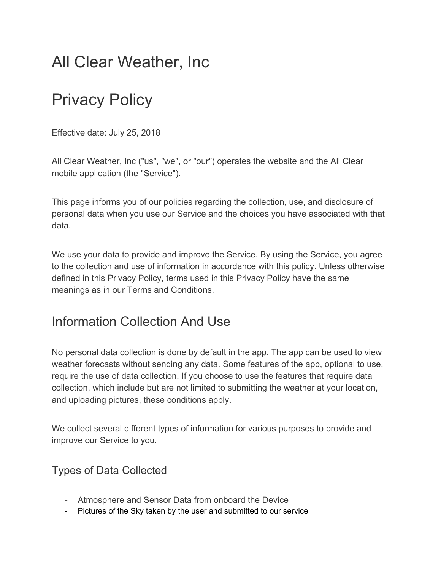# All Clear Weather, Inc

# Privacy Policy

Effective date: July 25, 2018

All Clear Weather, Inc ("us", "we", or "our") operates the website and the All Clear mobile application (the "Service").

This page informs you of our policies regarding the collection, use, and disclosure of personal data when you use our Service and the choices you have associated with that data.

We use your data to provide and improve the Service. By using the Service, you agree to the collection and use of information in accordance with this policy. Unless otherwise defined in this Privacy Policy, terms used in this Privacy Policy have the same meanings as in our Terms and Conditions.

## Information Collection And Use

No personal data collection is done by default in the app. The app can be used to view weather forecasts without sending any data. Some features of the app, optional to use, require the use of data collection. If you choose to use the features that require data collection, which include but are not limited to submitting the weather at your location, and uploading pictures, these conditions apply.

We collect several different types of information for various purposes to provide and improve our Service to you.

#### Types of Data Collected

- Atmosphere and Sensor Data from onboard the Device
- Pictures of the Sky taken by the user and submitted to our service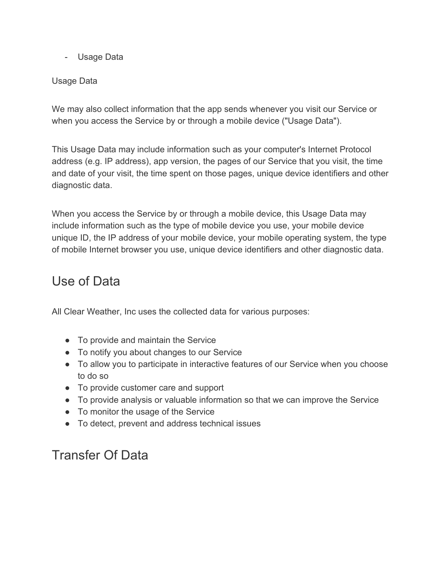- Usage Data

#### Usage Data

We may also collect information that the app sends whenever you visit our Service or when you access the Service by or through a mobile device ("Usage Data").

This Usage Data may include information such as your computer's Internet Protocol address (e.g. IP address), app version, the pages of our Service that you visit, the time and date of your visit, the time spent on those pages, unique device identifiers and other diagnostic data.

When you access the Service by or through a mobile device, this Usage Data may include information such as the type of mobile device you use, your mobile device unique ID, the IP address of your mobile device, your mobile operating system, the type of mobile Internet browser you use, unique device identifiers and other diagnostic data.

### Use of Data

All Clear Weather, Inc uses the collected data for various purposes:

- To provide and maintain the Service
- To notify you about changes to our Service
- To allow you to participate in interactive features of our Service when you choose to do so
- To provide customer care and support
- To provide analysis or valuable information so that we can improve the Service
- To monitor the usage of the Service
- To detect, prevent and address technical issues

## Transfer Of Data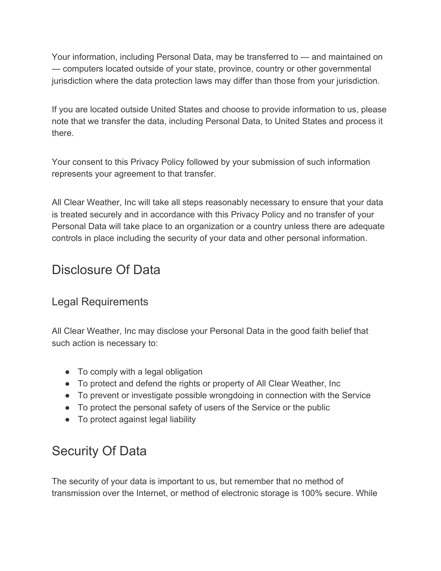Your information, including Personal Data, may be transferred to — and maintained on — computers located outside of your state, province, country or other governmental jurisdiction where the data protection laws may differ than those from your jurisdiction.

If you are located outside United States and choose to provide information to us, please note that we transfer the data, including Personal Data, to United States and process it there.

Your consent to this Privacy Policy followed by your submission of such information represents your agreement to that transfer.

All Clear Weather, Inc will take all steps reasonably necessary to ensure that your data is treated securely and in accordance with this Privacy Policy and no transfer of your Personal Data will take place to an organization or a country unless there are adequate controls in place including the security of your data and other personal information.

## Disclosure Of Data

#### Legal Requirements

All Clear Weather, Inc may disclose your Personal Data in the good faith belief that such action is necessary to:

- To comply with a legal obligation
- To protect and defend the rights or property of All Clear Weather, Inc
- To prevent or investigate possible wrongdoing in connection with the Service
- To protect the personal safety of users of the Service or the public
- To protect against legal liability

# Security Of Data

The security of your data is important to us, but remember that no method of transmission over the Internet, or method of electronic storage is 100% secure. While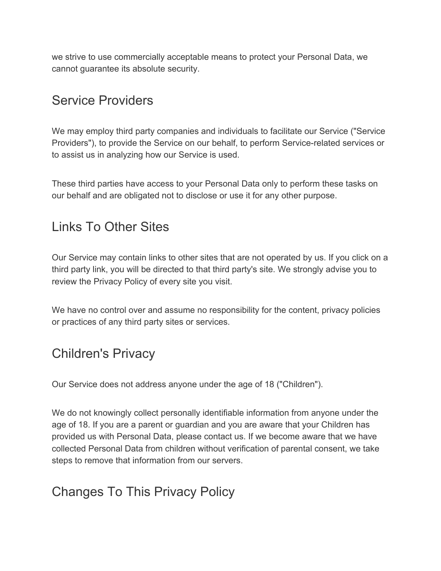we strive to use commercially acceptable means to protect your Personal Data, we cannot guarantee its absolute security.

## Service Providers

We may employ third party companies and individuals to facilitate our Service ("Service Providers"), to provide the Service on our behalf, to perform Service-related services or to assist us in analyzing how our Service is used.

These third parties have access to your Personal Data only to perform these tasks on our behalf and are obligated not to disclose or use it for any other purpose.

### Links To Other Sites

Our Service may contain links to other sites that are not operated by us. If you click on a third party link, you will be directed to that third party's site. We strongly advise you to review the Privacy Policy of every site you visit.

We have no control over and assume no responsibility for the content, privacy policies or practices of any third party sites or services.

# Children's Privacy

Our Service does not address anyone under the age of 18 ("Children").

We do not knowingly collect personally identifiable information from anyone under the age of 18. If you are a parent or guardian and you are aware that your Children has provided us with Personal Data, please contact us. If we become aware that we have collected Personal Data from children without verification of parental consent, we take steps to remove that information from our servers.

# Changes To This Privacy Policy